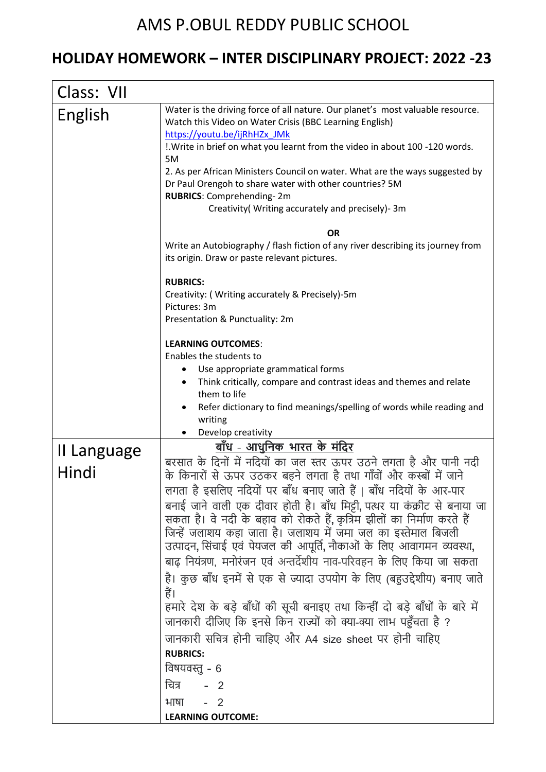## AMS P.OBUL REDDY PUBLIC SCHOOL

## **HOLIDAY HOMEWORK – INTER DISCIPLINARY PROJECT: 2022 -23**

| Class: VII  |                                                                                                                                                                           |
|-------------|---------------------------------------------------------------------------------------------------------------------------------------------------------------------------|
| English     | Water is the driving force of all nature. Our planet's most valuable resource.<br>Watch this Video on Water Crisis (BBC Learning English)<br>https://youtu.be/ijRhHZx JMk |
|             | !. Write in brief on what you learnt from the video in about 100 -120 words.<br>5M                                                                                        |
|             | 2. As per African Ministers Council on water. What are the ways suggested by<br>Dr Paul Orengoh to share water with other countries? 5M<br>RUBRICS: Comprehending-2m      |
|             | Creativity( Writing accurately and precisely)-3m                                                                                                                          |
|             | <b>OR</b><br>Write an Autobiography / flash fiction of any river describing its journey from<br>its origin. Draw or paste relevant pictures.                              |
|             | <b>RUBRICS:</b><br>Creativity: (Writing accurately & Precisely)-5m<br>Pictures: 3m                                                                                        |
|             | Presentation & Punctuality: 2m                                                                                                                                            |
|             | <b>LEARNING OUTCOMES:</b>                                                                                                                                                 |
|             | Enables the students to<br>Use appropriate grammatical forms<br>٠                                                                                                         |
|             | Think critically, compare and contrast ideas and themes and relate                                                                                                        |
|             | them to life                                                                                                                                                              |
|             | Refer dictionary to find meanings/spelling of words while reading and                                                                                                     |
|             | writing<br>Develop creativity                                                                                                                                             |
| II Language | <u>बाँध - आधुनिक भारत के मंदिर</u>                                                                                                                                        |
|             | बरसात के दिनों में नदियों का जल स्तर ऊपर उठने लगता है और पानी नदी                                                                                                         |
| Hindi       | के किनारों से ऊपर उठकर बहने लगता है तथा गाँवों और कस्बों में जाने                                                                                                         |
|             | लगता है इसलिए नदियों पर बाँध बनाए जाते हैं   बाँध नदियों के आर-पार                                                                                                        |
|             | बनाई जाने वाली एक दीवार होती है। बाँध मिट्टी, पत्थर या कंक्रीट से बनाया जा                                                                                                |
|             | सकता है। वे नदी के बहाव को रोकते हैं, कृत्रिम झीलों का निर्माण करते हैं<br>जिन्हें जलाशय कहा जाता है। जलाशय में जमा जल का इस्तेमाल बिजली                                  |
|             | उत्पादन, सिंचाई एवं पेयजल की आपूर्ति, नौकाओं के लिए आवागमन व्यवस्था,                                                                                                      |
|             | बाढ़ नियंत्रण, मनोरंजन एवं अन्तर्देशीय नाव-परिवहन के लिए किया जा सकता                                                                                                     |
|             | है। कुछ बाँध इनमें से एक से ज्यादा उपयोग के लिए (बहुउद्देशीय) बनाए जाते                                                                                                   |
|             | हैं।                                                                                                                                                                      |
|             | हमारे देश के बड़े बाँधों की सूची बनाइए तथा किन्हीं दो बड़े बाँधों के बारे में                                                                                             |
|             | जानकारी दीजिए कि इनसे किन राज्यों को क्या-क्या लाभ पहुँचता है ?                                                                                                           |
|             | जानकारी सचित्र होनी चाहिए और A4 size sheet पर होनी चाहिए<br><b>RUBRICS:</b>                                                                                               |
|             | विषयवस्तु - 6                                                                                                                                                             |
|             | चित्र<br>$-2$                                                                                                                                                             |
|             | भाषा<br>$-2$                                                                                                                                                              |
|             | <b>LEARNING OUTCOME:</b>                                                                                                                                                  |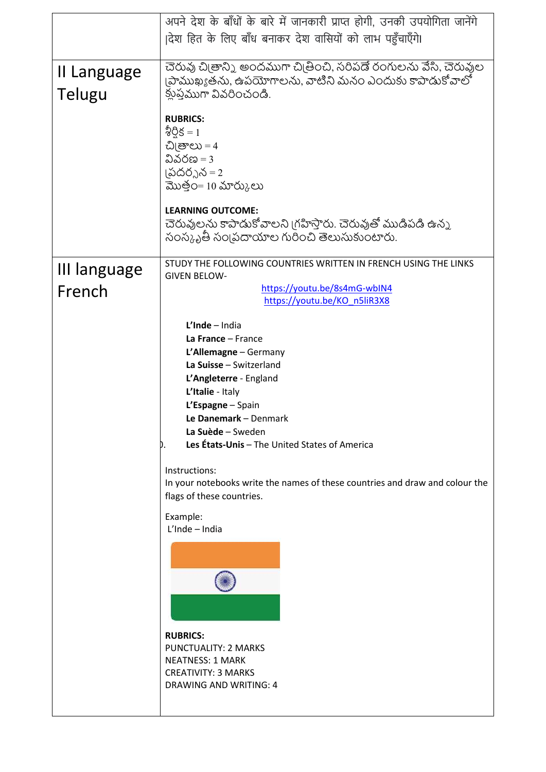|              | अपने देश के बाँधों के बारे में जानकारी प्राप्त होगी, उनकी उपयोगिता जानेंगे                                |
|--------------|-----------------------------------------------------------------------------------------------------------|
|              | दिश हित के लिए बाँध बनाकर देश वासियों को लाभ पहुँचाएँगे।                                                  |
|              |                                                                                                           |
| II Language  | చెరువు చిౖుతాన్ని అందముగా చిౖత్రించి, సరిపడే రంగులను వేసి, చెరువుల                                        |
|              | [పాముఖ్యతను, ఉపయోగాలను, వాటిని మనం ఎందుకు కాపాడుకోవాలో                                                    |
| Telugu       | క్లుప్తముగా వివరించండి.                                                                                   |
|              | <b>RUBRICS:</b>                                                                                           |
|              | $\delta$ న్షీర్ష = 1                                                                                      |
|              | చిౖు = 4                                                                                                  |
|              | వివరణ $=$ 3                                                                                               |
|              | (పదర్పన = 2                                                                                               |
|              | మొత్తం= 10 మార్కులు                                                                                       |
|              | <b>LEARNING OUTCOME:</b>                                                                                  |
|              | చెరువులను కాపాడుకోవాలని గ్రహిస్తారు. చెరువుతో ముడిపడి ఉన్న                                                |
|              | సంస్కృతీ సం పదాయాల గురించి తెలుసుకుంటారు.                                                                 |
|              |                                                                                                           |
| III language | STUDY THE FOLLOWING COUNTRIES WRITTEN IN FRENCH USING THE LINKS<br><b>GIVEN BELOW-</b>                    |
| French       | https://youtu.be/8s4mG-wbIN4                                                                              |
|              | https://youtu.be/KO n5liR3X8                                                                              |
|              | $L'$ Inde - India                                                                                         |
|              | La France - France                                                                                        |
|              | L'Allemagne - Germany                                                                                     |
|              | La Suisse - Switzerland                                                                                   |
|              | L'Angleterre - England                                                                                    |
|              | L'Italie - Italy                                                                                          |
|              | L'Espagne - Spain                                                                                         |
|              | Le Danemark - Denmark<br>La Suède - Sweden                                                                |
|              | Les États-Unis - The United States of America<br>D.                                                       |
|              |                                                                                                           |
|              | Instructions:                                                                                             |
|              | In your notebooks write the names of these countries and draw and colour the<br>flags of these countries. |
|              |                                                                                                           |
|              | Example:                                                                                                  |
|              | L'Inde - India                                                                                            |
|              |                                                                                                           |
|              |                                                                                                           |
|              |                                                                                                           |
|              |                                                                                                           |
|              |                                                                                                           |
|              | <b>RUBRICS:</b>                                                                                           |
|              | <b>PUNCTUALITY: 2 MARKS</b>                                                                               |
|              | <b>NEATNESS: 1 MARK</b>                                                                                   |
|              | <b>CREATIVITY: 3 MARKS</b>                                                                                |
|              | <b>DRAWING AND WRITING: 4</b>                                                                             |
|              |                                                                                                           |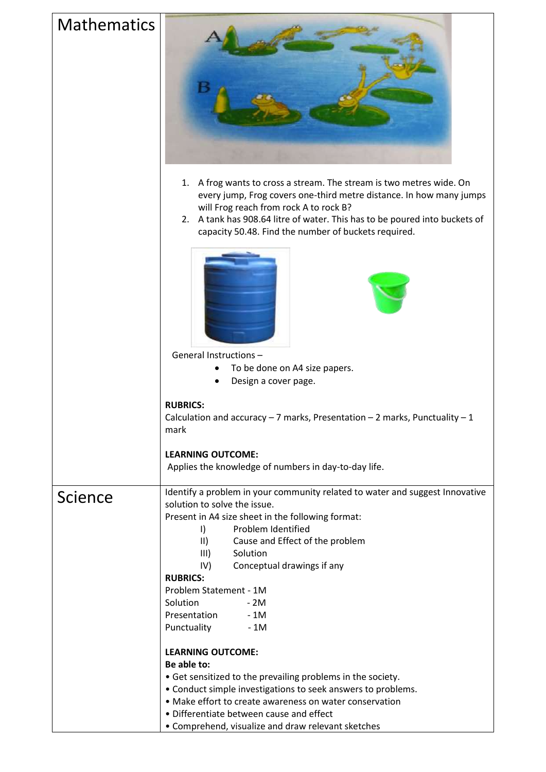| <b>Mathematics</b> | Б                                                                                                                                                                                                                                                                                                                           |
|--------------------|-----------------------------------------------------------------------------------------------------------------------------------------------------------------------------------------------------------------------------------------------------------------------------------------------------------------------------|
|                    | 1. A frog wants to cross a stream. The stream is two metres wide. On<br>every jump, Frog covers one-third metre distance. In how many jumps<br>will Frog reach from rock A to rock B?<br>2. A tank has 908.64 litre of water. This has to be poured into buckets of<br>capacity 50.48. Find the number of buckets required. |
|                    |                                                                                                                                                                                                                                                                                                                             |
|                    | General Instructions-                                                                                                                                                                                                                                                                                                       |
|                    | To be done on A4 size papers.<br>Design a cover page.                                                                                                                                                                                                                                                                       |
|                    |                                                                                                                                                                                                                                                                                                                             |
|                    | <b>RUBRICS:</b><br>Calculation and accuracy - 7 marks, Presentation - 2 marks, Punctuality - 1<br>mark                                                                                                                                                                                                                      |
|                    | <b>LEARNING OUTCOME:</b><br>Applies the knowledge of numbers in day-to-day life.                                                                                                                                                                                                                                            |
| Science            | Identify a problem in your community related to water and suggest Innovative                                                                                                                                                                                                                                                |
|                    | solution to solve the issue.<br>Present in A4 size sheet in the following format:                                                                                                                                                                                                                                           |
|                    | Problem Identified<br>$\vert$                                                                                                                                                                                                                                                                                               |
|                    | $\parallel$<br>Cause and Effect of the problem                                                                                                                                                                                                                                                                              |
|                    | Solution<br>III)<br>Conceptual drawings if any<br>IV)                                                                                                                                                                                                                                                                       |
|                    | <b>RUBRICS:</b>                                                                                                                                                                                                                                                                                                             |
|                    | Problem Statement - 1M                                                                                                                                                                                                                                                                                                      |
|                    | Solution<br>$-2M$                                                                                                                                                                                                                                                                                                           |
|                    | Presentation<br>$-1M$<br>Punctuality<br>$-1M$                                                                                                                                                                                                                                                                               |
|                    |                                                                                                                                                                                                                                                                                                                             |
|                    | <b>LEARNING OUTCOME:</b>                                                                                                                                                                                                                                                                                                    |
|                    | Be able to:<br>• Get sensitized to the prevailing problems in the society.                                                                                                                                                                                                                                                  |
|                    | • Conduct simple investigations to seek answers to problems.                                                                                                                                                                                                                                                                |
|                    | • Make effort to create awareness on water conservation                                                                                                                                                                                                                                                                     |
|                    | • Differentiate between cause and effect                                                                                                                                                                                                                                                                                    |
|                    | • Comprehend, visualize and draw relevant sketches                                                                                                                                                                                                                                                                          |